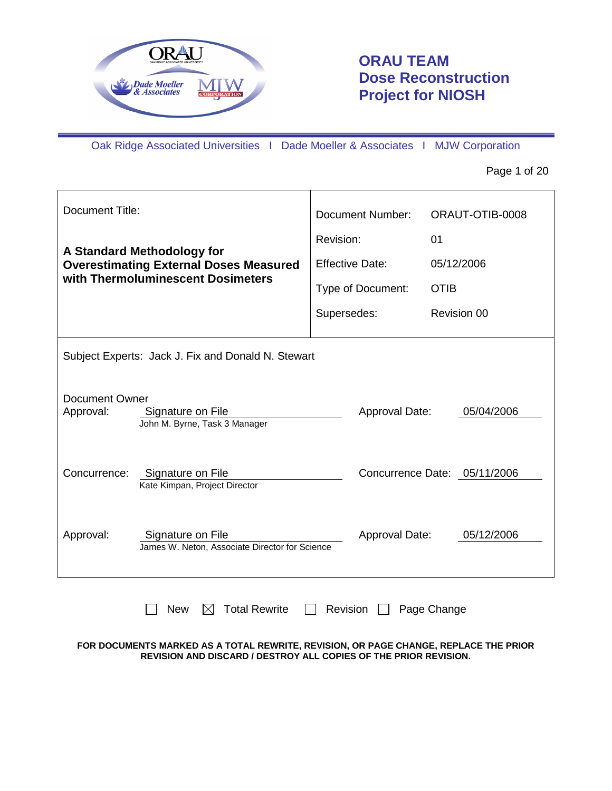

# **ORAU TEAM Dose Reconstruction Project for NIOSH**

Oak Ridge Associated Universities I Dade Moeller & Associates I MJW Corporation

Page 1 of 20

| Document Title:                                                                                                          |                                                                             | <b>Document Number:</b> | ORAUT-OTIB-0008              |
|--------------------------------------------------------------------------------------------------------------------------|-----------------------------------------------------------------------------|-------------------------|------------------------------|
|                                                                                                                          |                                                                             | Revision:               | 01                           |
|                                                                                                                          | A Standard Methodology for<br><b>Overestimating External Doses Measured</b> | <b>Effective Date:</b>  | 05/12/2006                   |
|                                                                                                                          | with Thermoluminescent Dosimeters                                           | Type of Document:       | <b>OTIB</b>                  |
|                                                                                                                          |                                                                             | Supersedes:             | Revision 00                  |
|                                                                                                                          | Subject Experts: Jack J. Fix and Donald N. Stewart                          |                         |                              |
| <b>Document Owner</b><br>05/04/2006<br>Approval:<br>Signature on File<br>Approval Date:<br>John M. Byrne, Task 3 Manager |                                                                             |                         |                              |
| Concurrence:                                                                                                             | Signature on File<br>Kate Kimpan, Project Director                          |                         | Concurrence Date: 05/11/2006 |
| Approval:                                                                                                                | Signature on File<br>James W. Neton, Associate Director for Science         | Approval Date:          | 05/12/2006                   |
|                                                                                                                          | <b>Total Rewrite</b><br><b>New</b><br>M                                     | Revision                | Page Change                  |

#### **FOR DOCUMENTS MARKED AS A TOTAL REWRITE, REVISION, OR PAGE CHANGE, REPLACE THE PRIOR REVISION AND DISCARD / DESTROY ALL COPIES OF THE PRIOR REVISION.**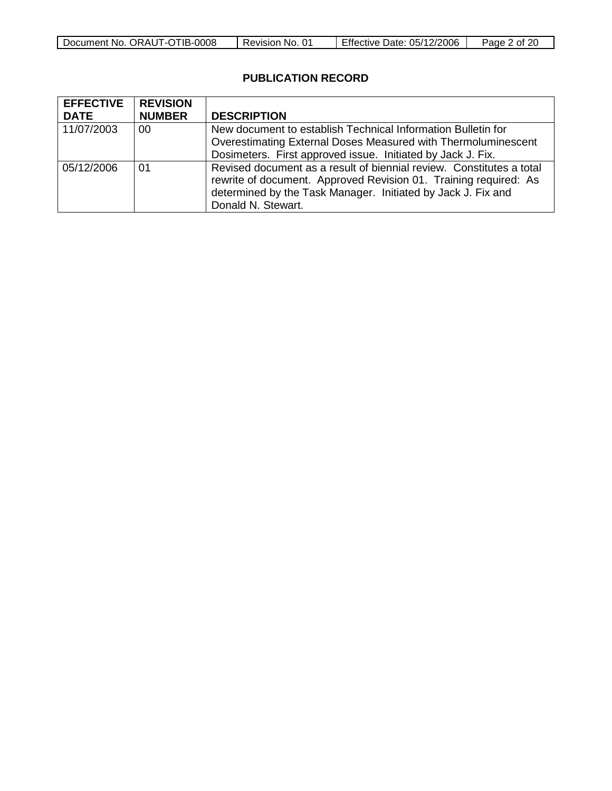| -0008<br>Document No.<br>™IB-<br>, ORAUT-OT | NO.<br><b>Revision</b> | 05/12/2006<br>Date:<br><b>Effective L</b> | Page<br>ot 20 |
|---------------------------------------------|------------------------|-------------------------------------------|---------------|

# **PUBLICATION RECORD**

| <b>EFFECTIVE</b> | <b>REVISION</b> |                                                                                                                                                                                                                                |
|------------------|-----------------|--------------------------------------------------------------------------------------------------------------------------------------------------------------------------------------------------------------------------------|
| <b>DATE</b>      | <b>NUMBER</b>   | <b>DESCRIPTION</b>                                                                                                                                                                                                             |
| 11/07/2003       | 00              | New document to establish Technical Information Bulletin for                                                                                                                                                                   |
|                  |                 | Overestimating External Doses Measured with Thermoluminescent                                                                                                                                                                  |
|                  |                 | Dosimeters. First approved issue. Initiated by Jack J. Fix.                                                                                                                                                                    |
| 05/12/2006       | 01              | Revised document as a result of biennial review. Constitutes a total<br>rewrite of document. Approved Revision 01. Training required: As<br>determined by the Task Manager. Initiated by Jack J. Fix and<br>Donald N. Stewart. |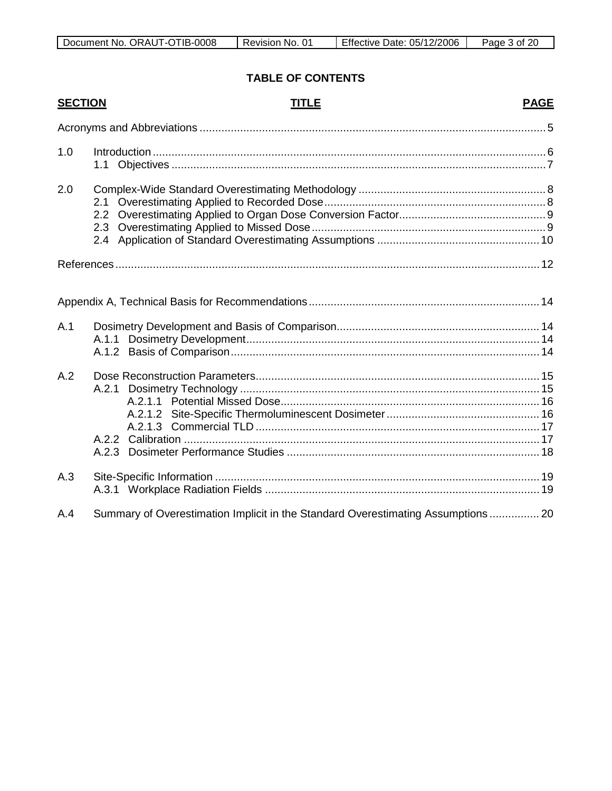| -IB-۱        | n4       | /12/2006  | റി  |
|--------------|----------|-----------|-----|
| -0008        | No.      | 05/       | aae |
| ORAUT-OT     | Revision | Effective | 0t  |
| Document No. | ◡        | Date:     | ∠∪. |

# **TABLE OF CONTENTS**

| <b>SECTION</b> | <b>TITLE</b>                                                                     | <b>PAGE</b> |
|----------------|----------------------------------------------------------------------------------|-------------|
|                |                                                                                  |             |
| 1.0            | 1.1                                                                              |             |
| 2.0            |                                                                                  |             |
|                |                                                                                  |             |
|                |                                                                                  |             |
| A.1            |                                                                                  |             |
| A.2            |                                                                                  |             |
| A.3            |                                                                                  |             |
| A.4            | Summary of Overestimation Implicit in the Standard Overestimating Assumptions 20 |             |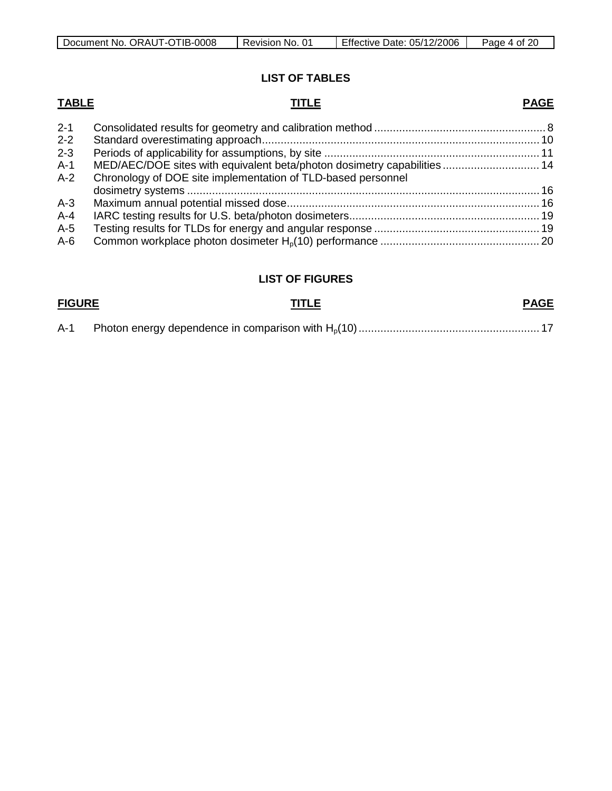| Document No. ORAUT-OTIB-0008 | No. 01<br>Revision | Effective Date: 05/12/2006 | Page<br>n of |
|------------------------------|--------------------|----------------------------|--------------|

# **LIST OF TABLES**

# **TABLE TITLE**

# **PAGE**

| $2 - 1$ |                                                                          |  |
|---------|--------------------------------------------------------------------------|--|
| $2 - 2$ |                                                                          |  |
| $2 - 3$ |                                                                          |  |
| $A-1$   | MED/AEC/DOE sites with equivalent beta/photon dosimetry capabilities  14 |  |
| $A-2$   | Chronology of DOE site implementation of TLD-based personnel             |  |
|         |                                                                          |  |
| $A-3$   |                                                                          |  |
| $A - 4$ |                                                                          |  |
| $A-5$   |                                                                          |  |
| $A-6$   |                                                                          |  |
|         |                                                                          |  |

# **LIST OF FIGURES**

# **FIGURE TITLE**

# **PAGE**

| A-1 — |  |  |  |  |
|-------|--|--|--|--|
|-------|--|--|--|--|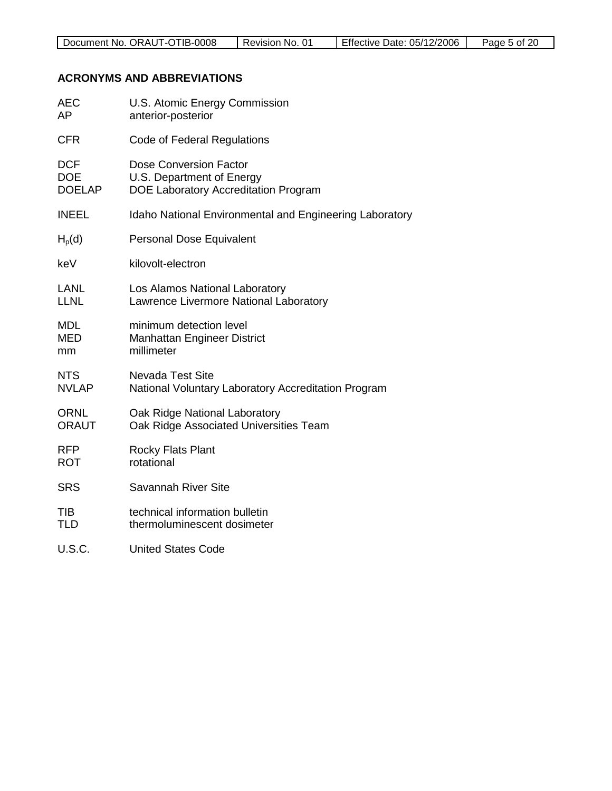## **ACRONYMS AND ABBREVIATIONS**

| AEC           | U.S. Atomic Energy Commission                           |
|---------------|---------------------------------------------------------|
| AP            | anterior-posterior                                      |
| <b>CFR</b>    | <b>Code of Federal Regulations</b>                      |
| <b>DCF</b>    | Dose Conversion Factor                                  |
| <b>DOE</b>    | U.S. Department of Energy                               |
| <b>DOELAP</b> | DOE Laboratory Accreditation Program                    |
| <b>INEEL</b>  | Idaho National Environmental and Engineering Laboratory |
| $H_p(d)$      | Personal Dose Equivalent                                |
| keV           | kilovolt-electron                                       |
| LANL          | Los Alamos National Laboratory                          |
| <b>LLNL</b>   | Lawrence Livermore National Laboratory                  |
| <b>MDL</b>    | minimum detection level                                 |
| <b>MED</b>    | Manhattan Engineer District                             |
| mm            | millimeter                                              |
| <b>NTS</b>    | <b>Nevada Test Site</b>                                 |
| <b>NVLAP</b>  | National Voluntary Laboratory Accreditation Program     |
| <b>ORNL</b>   | Oak Ridge National Laboratory                           |
| <b>ORAUT</b>  | Oak Ridge Associated Universities Team                  |
| <b>RFP</b>    | <b>Rocky Flats Plant</b>                                |
| <b>ROT</b>    | rotational                                              |
| <b>SRS</b>    | Savannah River Site                                     |
| TIB           | technical information bulletin                          |
| TLD           | thermoluminescent dosimeter                             |
| <b>U.S.C.</b> | <b>United States Code</b>                               |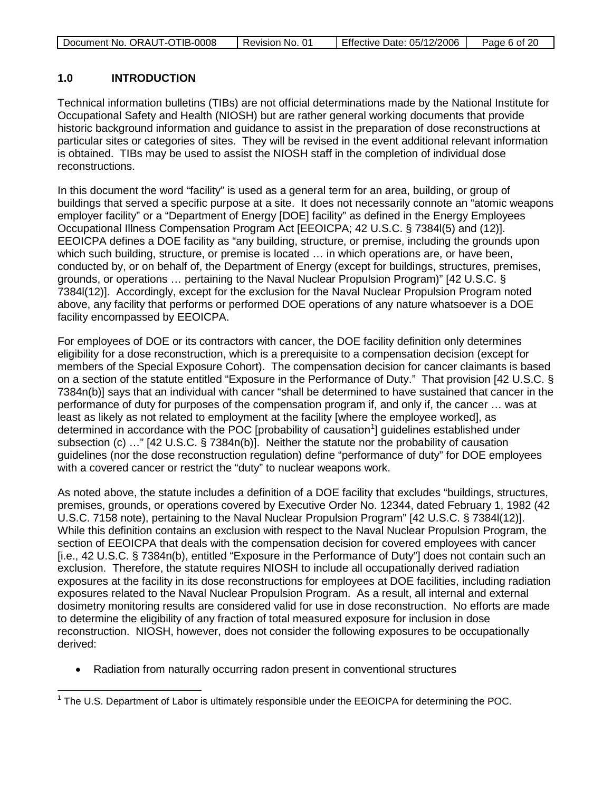| Document No. ORAUT-OTIB-0008 | Revision No. 01 | Effective Date: 05/12/2006 | Page 6 of 20 |
|------------------------------|-----------------|----------------------------|--------------|
|                              |                 |                            |              |

## **1.0 INTRODUCTION**

Technical information bulletins (TIBs) are not official determinations made by the National Institute for Occupational Safety and Health (NIOSH) but are rather general working documents that provide historic background information and guidance to assist in the preparation of dose reconstructions at particular sites or categories of sites. They will be revised in the event additional relevant information is obtained. TIBs may be used to assist the NIOSH staff in the completion of individual dose reconstructions.

In this document the word "facility" is used as a general term for an area, building, or group of buildings that served a specific purpose at a site. It does not necessarily connote an "atomic weapons employer facility" or a "Department of Energy [DOE] facility" as defined in the Energy Employees Occupational Illness Compensation Program Act [EEOICPA; 42 U.S.C. § 7384l(5) and (12)]. EEOICPA defines a DOE facility as "any building, structure, or premise, including the grounds upon which such building, structure, or premise is located … in which operations are, or have been, conducted by, or on behalf of, the Department of Energy (except for buildings, structures, premises, grounds, or operations … pertaining to the Naval Nuclear Propulsion Program)" [42 U.S.C. § 7384l(12)]. Accordingly, except for the exclusion for the Naval Nuclear Propulsion Program noted above, any facility that performs or performed DOE operations of any nature whatsoever is a DOE facility encompassed by EEOICPA.

For employees of DOE or its contractors with cancer, the DOE facility definition only determines eligibility for a dose reconstruction, which is a prerequisite to a compensation decision (except for members of the Special Exposure Cohort). The compensation decision for cancer claimants is based on a section of the statute entitled "Exposure in the Performance of Duty." That provision [42 U.S.C. § 7384n(b)] says that an individual with cancer "shall be determined to have sustained that cancer in the performance of duty for purposes of the compensation program if, and only if, the cancer … was at least as likely as not related to employment at the facility [where the employee worked], as determined in accordance with the POC [probability of causation<sup>[1](#page-5-0)</sup>] guidelines established under subsection (c) …" [42 U.S.C. § 7384n(b)]. Neither the statute nor the probability of causation guidelines (nor the dose reconstruction regulation) define "performance of duty" for DOE employees with a covered cancer or restrict the "duty" to nuclear weapons work.

As noted above, the statute includes a definition of a DOE facility that excludes "buildings, structures, premises, grounds, or operations covered by Executive Order No. 12344, dated February 1, 1982 (42 U.S.C. 7158 note), pertaining to the Naval Nuclear Propulsion Program" [42 U.S.C. § 7384l(12)]. While this definition contains an exclusion with respect to the Naval Nuclear Propulsion Program, the section of EEOICPA that deals with the compensation decision for covered employees with cancer [i.e., 42 U.S.C. § 7384n(b), entitled "Exposure in the Performance of Duty"] does not contain such an exclusion. Therefore, the statute requires NIOSH to include all occupationally derived radiation exposures at the facility in its dose reconstructions for employees at DOE facilities, including radiation exposures related to the Naval Nuclear Propulsion Program. As a result, all internal and external dosimetry monitoring results are considered valid for use in dose reconstruction. No efforts are made to determine the eligibility of any fraction of total measured exposure for inclusion in dose reconstruction. NIOSH, however, does not consider the following exposures to be occupationally derived:

• Radiation from naturally occurring radon present in conventional structures

<span id="page-5-0"></span> $1$  The U.S. Department of Labor is ultimately responsible under the EEOICPA for determining the POC.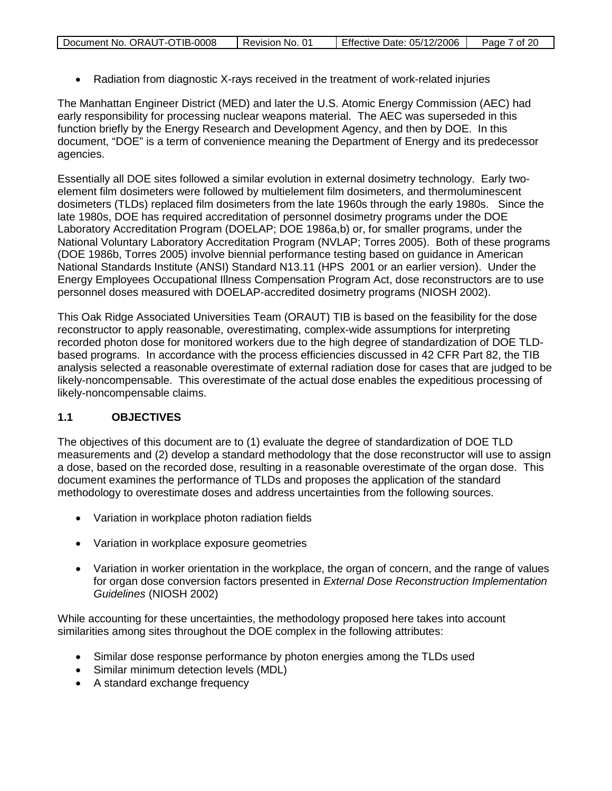| Document No. ORAUT-OTIB-0008 | Revision No. 01 | <b>Effective Date: 05/12/2006</b> | Page 7 of 20 |
|------------------------------|-----------------|-----------------------------------|--------------|

• Radiation from diagnostic X-rays received in the treatment of work-related injuries

The Manhattan Engineer District (MED) and later the U.S. Atomic Energy Commission (AEC) had early responsibility for processing nuclear weapons material. The AEC was superseded in this function briefly by the Energy Research and Development Agency, and then by DOE. In this document, "DOE" is a term of convenience meaning the Department of Energy and its predecessor agencies.

Essentially all DOE sites followed a similar evolution in external dosimetry technology. Early twoelement film dosimeters were followed by multielement film dosimeters, and thermoluminescent dosimeters (TLDs) replaced film dosimeters from the late 1960s through the early 1980s. Since the late 1980s, DOE has required accreditation of personnel dosimetry programs under the DOE Laboratory Accreditation Program (DOELAP; DOE 1986a,b) or, for smaller programs, under the National Voluntary Laboratory Accreditation Program (NVLAP; Torres 2005). Both of these programs (DOE 1986b, Torres 2005) involve biennial performance testing based on guidance in American National Standards Institute (ANSI) Standard N13.11 (HPS 2001 or an earlier version). Under the Energy Employees Occupational Illness Compensation Program Act, dose reconstructors are to use personnel doses measured with DOELAP-accredited dosimetry programs (NIOSH 2002).

This Oak Ridge Associated Universities Team (ORAUT) TIB is based on the feasibility for the dose reconstructor to apply reasonable, overestimating, complex-wide assumptions for interpreting recorded photon dose for monitored workers due to the high degree of standardization of DOE TLDbased programs. In accordance with the process efficiencies discussed in 42 CFR Part 82, the TIB analysis selected a reasonable overestimate of external radiation dose for cases that are judged to be likely-noncompensable. This overestimate of the actual dose enables the expeditious processing of likely-noncompensable claims.

## **1.1 OBJECTIVES**

The objectives of this document are to (1) evaluate the degree of standardization of DOE TLD measurements and (2) develop a standard methodology that the dose reconstructor will use to assign a dose, based on the recorded dose, resulting in a reasonable overestimate of the organ dose. This document examines the performance of TLDs and proposes the application of the standard methodology to overestimate doses and address uncertainties from the following sources.

- Variation in workplace photon radiation fields
- Variation in workplace exposure geometries
- Variation in worker orientation in the workplace, the organ of concern, and the range of values for organ dose conversion factors presented in *External Dose Reconstruction Implementation Guidelines* (NIOSH 2002)

While accounting for these uncertainties, the methodology proposed here takes into account similarities among sites throughout the DOE complex in the following attributes:

- Similar dose response performance by photon energies among the TLDs used
- Similar minimum detection levels (MDL)
- A standard exchange frequency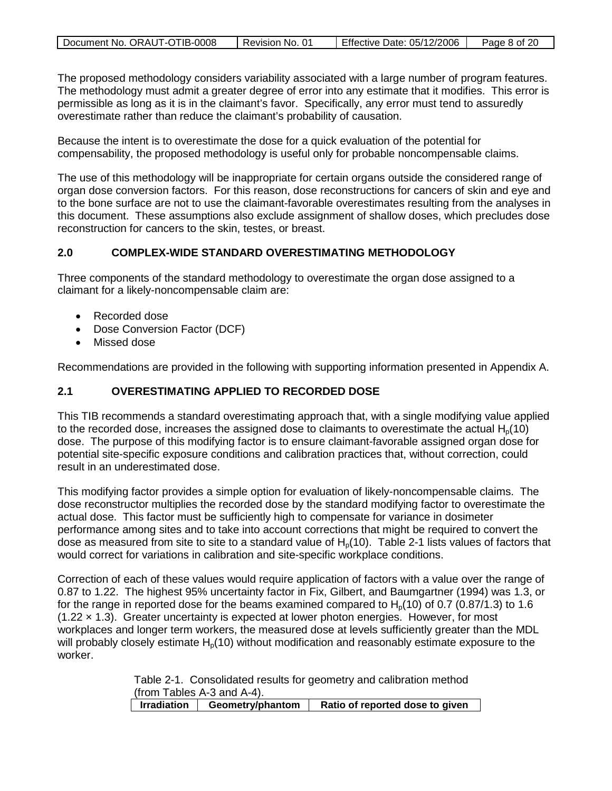| Document No. ORAUT-OTIB-0008 | Revision No. 01 | Effective Date: 05/12/2006 | Page 8 of 20 |
|------------------------------|-----------------|----------------------------|--------------|

The proposed methodology considers variability associated with a large number of program features. The methodology must admit a greater degree of error into any estimate that it modifies. This error is permissible as long as it is in the claimant's favor. Specifically, any error must tend to assuredly overestimate rather than reduce the claimant's probability of causation.

Because the intent is to overestimate the dose for a quick evaluation of the potential for compensability, the proposed methodology is useful only for probable noncompensable claims.

The use of this methodology will be inappropriate for certain organs outside the considered range of organ dose conversion factors. For this reason, dose reconstructions for cancers of skin and eye and to the bone surface are not to use the claimant-favorable overestimates resulting from the analyses in this document. These assumptions also exclude assignment of shallow doses, which precludes dose reconstruction for cancers to the skin, testes, or breast.

#### **2.0 COMPLEX-WIDE STANDARD OVERESTIMATING METHODOLOGY**

Three components of the standard methodology to overestimate the organ dose assigned to a claimant for a likely-noncompensable claim are:

- Recorded dose
- Dose Conversion Factor (DCF)
- Missed dose

Recommendations are provided in the following with supporting information presented in Appendix A.

## **2.1 OVERESTIMATING APPLIED TO RECORDED DOSE**

This TIB recommends a standard overestimating approach that, with a single modifying value applied to the recorded dose, increases the assigned dose to claimants to overestimate the actual  $H<sub>0</sub>(10)$ dose. The purpose of this modifying factor is to ensure claimant-favorable assigned organ dose for potential site-specific exposure conditions and calibration practices that, without correction, could result in an underestimated dose.

This modifying factor provides a simple option for evaluation of likely-noncompensable claims. The dose reconstructor multiplies the recorded dose by the standard modifying factor to overestimate the actual dose. This factor must be sufficiently high to compensate for variance in dosimeter performance among sites and to take into account corrections that might be required to convert the dose as measured from site to site to a standard value of  $H<sub>0</sub>(10)$ . Table 2-1 lists values of factors that would correct for variations in calibration and site-specific workplace conditions.

Correction of each of these values would require application of factors with a value over the range of 0.87 to 1.22. The highest 95% uncertainty factor in Fix, Gilbert, and Baumgartner (1994) was 1.3, or for the range in reported dose for the beams examined compared to  $H<sub>0</sub>(10)$  of 0.7 (0.87/1.3) to 1.6 (1.22 × 1.3). Greater uncertainty is expected at lower photon energies. However, for most workplaces and longer term workers, the measured dose at levels sufficiently greater than the MDL will probably closely estimate  $H<sub>0</sub>(10)$  without modification and reasonably estimate exposure to the worker.

> Table 2-1. Consolidated results for geometry and calibration method  $($ from Tables A-3 and A-4 $)$ .<br>Irradiation | Geometry/phantom

> **Irradiation Geometry/phantom Ratio of reported dose to given**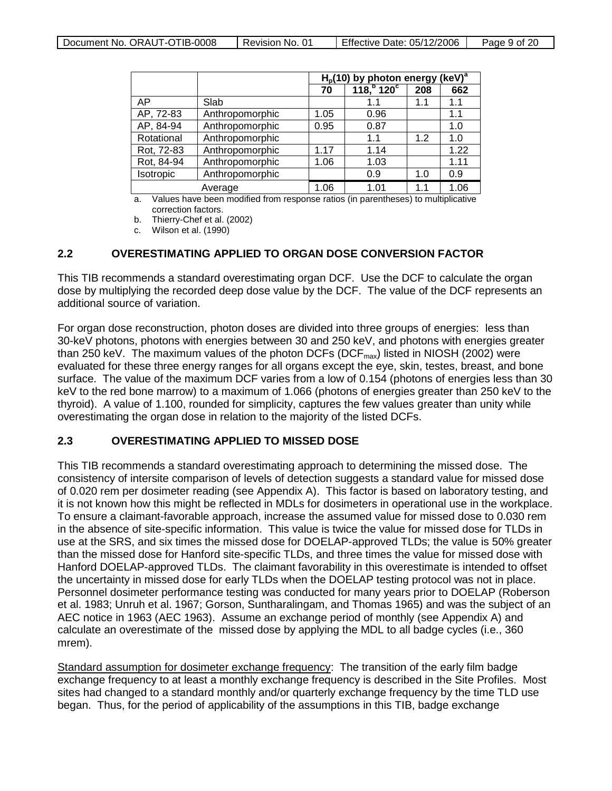|            |                 |      | $(keV)^a$<br>$Hp(10)$ by photon energy |     |      |  |  |
|------------|-----------------|------|----------------------------------------|-----|------|--|--|
|            |                 | 70   | 118 <sup>b</sup> 120 <sup>c</sup>      | 208 | 662  |  |  |
| AP         | Slab            |      | 1.1                                    | 1.1 | 1.1  |  |  |
| AP, 72-83  | Anthropomorphic | 1.05 | 0.96                                   |     | 1.1  |  |  |
| AP, 84-94  | Anthropomorphic | 0.95 | 0.87                                   |     | 1.0  |  |  |
| Rotational | Anthropomorphic |      | 1.1                                    | 1.2 | 1.0  |  |  |
| Rot, 72-83 | Anthropomorphic | 1.17 | 1.14                                   |     | 1.22 |  |  |
| Rot, 84-94 | Anthropomorphic | 1.06 | 1.03                                   |     | 1.11 |  |  |
| Isotropic  | Anthropomorphic |      | 0.9                                    | 1.0 | 0.9  |  |  |
| Average    |                 | 1.06 | 1.01                                   | 11  | 1.06 |  |  |

a. Values have been modified from response ratios (in parentheses) to multiplicative correction factors.

b. Thierry-Chef et al. (2002)

c. Wilson et al. (1990)

#### **2.2 OVERESTIMATING APPLIED TO ORGAN DOSE CONVERSION FACTOR**

This TIB recommends a standard overestimating organ DCF. Use the DCF to calculate the organ dose by multiplying the recorded deep dose value by the DCF. The value of the DCF represents an additional source of variation.

For organ dose reconstruction, photon doses are divided into three groups of energies: less than 30-keV photons, photons with energies between 30 and 250 keV, and photons with energies greater than 250 keV. The maximum values of the photon DCFs (DCF $_{max}$ ) listed in NIOSH (2002) were evaluated for these three energy ranges for all organs except the eye, skin, testes, breast, and bone surface. The value of the maximum DCF varies from a low of 0.154 (photons of energies less than 30 keV to the red bone marrow) to a maximum of 1.066 (photons of energies greater than 250 keV to the thyroid). A value of 1.100, rounded for simplicity, captures the few values greater than unity while overestimating the organ dose in relation to the majority of the listed DCFs.

#### **2.3 OVERESTIMATING APPLIED TO MISSED DOSE**

This TIB recommends a standard overestimating approach to determining the missed dose. The consistency of intersite comparison of levels of detection suggests a standard value for missed dose of 0.020 rem per dosimeter reading (see Appendix A). This factor is based on laboratory testing, and it is not known how this might be reflected in MDLs for dosimeters in operational use in the workplace. To ensure a claimant-favorable approach, increase the assumed value for missed dose to 0.030 rem in the absence of site-specific information. This value is twice the value for missed dose for TLDs in use at the SRS, and six times the missed dose for DOELAP-approved TLDs; the value is 50% greater than the missed dose for Hanford site-specific TLDs, and three times the value for missed dose with Hanford DOELAP-approved TLDs. The claimant favorability in this overestimate is intended to offset the uncertainty in missed dose for early TLDs when the DOELAP testing protocol was not in place. Personnel dosimeter performance testing was conducted for many years prior to DOELAP (Roberson et al. 1983; Unruh et al. 1967; Gorson, Suntharalingam, and Thomas 1965) and was the subject of an AEC notice in 1963 (AEC 1963). Assume an exchange period of monthly (see Appendix A) and calculate an overestimate of the missed dose by applying the MDL to all badge cycles (i.e., 360 mrem).

Standard assumption for dosimeter exchange frequency: The transition of the early film badge exchange frequency to at least a monthly exchange frequency is described in the Site Profiles. Most sites had changed to a standard monthly and/or quarterly exchange frequency by the time TLD use began. Thus, for the period of applicability of the assumptions in this TIB, badge exchange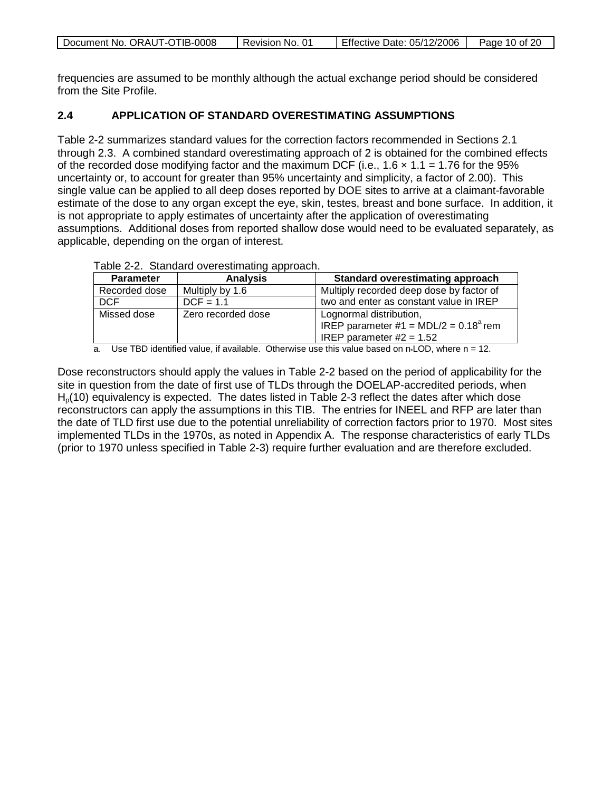| Document No. ORAUT-OTIB-0008 | Revision No. 01 | Effective Date: 05/12/2006 | Page 10 of 20 |
|------------------------------|-----------------|----------------------------|---------------|
|                              |                 |                            |               |

frequencies are assumed to be monthly although the actual exchange period should be considered from the Site Profile.

### **2.4 APPLICATION OF STANDARD OVERESTIMATING ASSUMPTIONS**

Table 2-2 summarizes standard values for the correction factors recommended in Sections 2.1 through 2.3. A combined standard overestimating approach of 2 is obtained for the combined effects of the recorded dose modifying factor and the maximum DCF (i.e.,  $1.6 \times 1.1 = 1.76$  for the 95% uncertainty or, to account for greater than 95% uncertainty and simplicity, a factor of 2.00). This single value can be applied to all deep doses reported by DOE sites to arrive at a claimant-favorable estimate of the dose to any organ except the eye, skin, testes, breast and bone surface. In addition, it is not appropriate to apply estimates of uncertainty after the application of overestimating assumptions. Additional doses from reported shallow dose would need to be evaluated separately, as applicable, depending on the organ of interest.

| <b>Parameter</b> | <b>Analysis</b>    | <b>Standard overestimating approach</b>        |
|------------------|--------------------|------------------------------------------------|
| Recorded dose    | Multiply by 1.6    | Multiply recorded deep dose by factor of       |
| <b>DCF</b>       | $DCF = 1.1$        | two and enter as constant value in IREP        |
| Missed dose      | Zero recorded dose | Lognormal distribution,                        |
|                  |                    | IREP parameter #1 = MDL/2 = $0.18^{\circ}$ rem |
|                  |                    | IREP parameter $#2 = 1.52$                     |

Table 2-2. Standard overestimating approach.

a. Use TBD identified value, if available. Otherwise use this value based on n\*LOD, where n = 12.

Dose reconstructors should apply the values in Table 2-2 based on the period of applicability for the site in question from the date of first use of TLDs through the DOELAP-accredited periods, when  $H<sub>0</sub>(10)$  equivalency is expected. The dates listed in Table 2-3 reflect the dates after which dose reconstructors can apply the assumptions in this TIB. The entries for INEEL and RFP are later than the date of TLD first use due to the potential unreliability of correction factors prior to 1970. Most sites implemented TLDs in the 1970s, as noted in Appendix A. The response characteristics of early TLDs (prior to 1970 unless specified in Table 2-3) require further evaluation and are therefore excluded.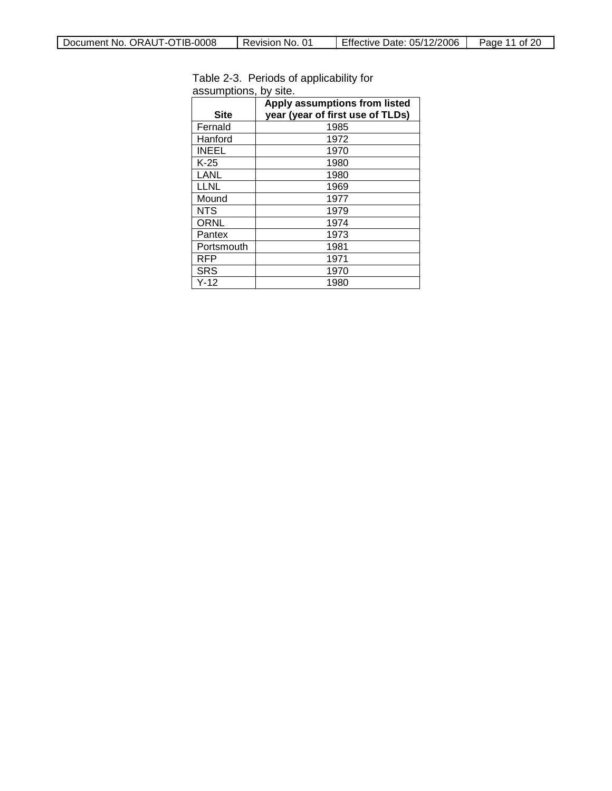| <b>Site</b>  | Apply assumptions from listed<br>year (year of first use of TLDs) |
|--------------|-------------------------------------------------------------------|
| Fernald      | 1985                                                              |
| Hanford      | 1972                                                              |
| <b>INEEL</b> | 1970                                                              |
| $K-25$       | 1980                                                              |
| LANL         | 1980                                                              |
| <b>LLNL</b>  | 1969                                                              |
| Mound        | 1977                                                              |
| NTS.         | 1979                                                              |
| <b>ORNL</b>  | 1974                                                              |
| Pantex       | 1973                                                              |
| Portsmouth   | 1981                                                              |
| RFP          | 1971                                                              |
| <b>SRS</b>   | 1970                                                              |
| $Y-12$       | 1980                                                              |

Table 2-3. Periods of applicability for assumptions, by site.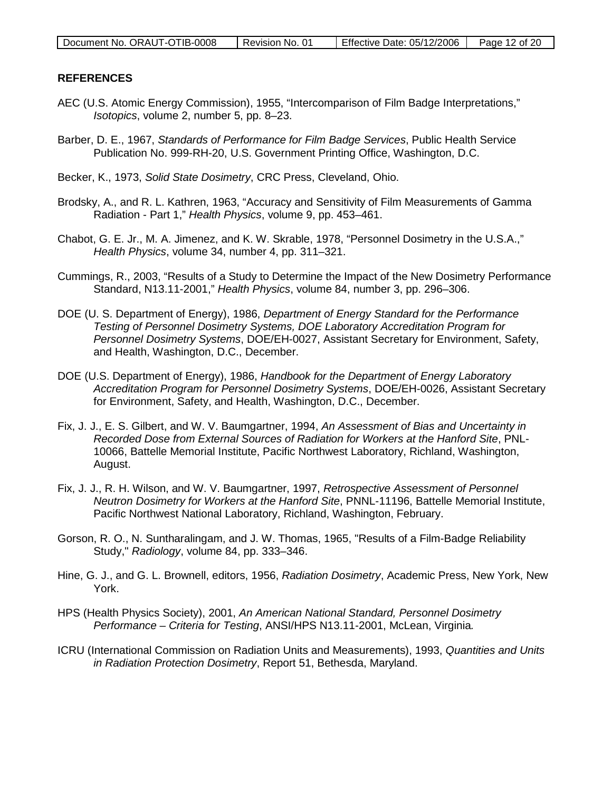| Document No. ORAUT-OTIB-0008 | Revision No. 01 | Effective Date: 05/12/2006 | Page 12 of 20 |
|------------------------------|-----------------|----------------------------|---------------|
|                              |                 |                            |               |

#### **REFERENCES**

- AEC (U.S. Atomic Energy Commission), 1955, "Intercomparison of Film Badge Interpretations," *Isotopics*, volume 2, number 5, pp. 8–23.
- Barber, D. E., 1967, *Standards of Performance for Film Badge Services*, Public Health Service Publication No. 999-RH-20, U.S. Government Printing Office, Washington, D.C.
- Becker, K., 1973, *Solid State Dosimetry*, CRC Press, Cleveland, Ohio.
- Brodsky, A., and R. L. Kathren, 1963, "Accuracy and Sensitivity of Film Measurements of Gamma Radiation - Part 1," *Health Physics*, volume 9, pp. 453–461.
- Chabot, G. E. Jr., M. A. Jimenez, and K. W. Skrable, 1978, "Personnel Dosimetry in the U.S.A.," *Health Physics*, volume 34, number 4, pp. 311–321.
- Cummings, R., 2003, "Results of a Study to Determine the Impact of the New Dosimetry Performance Standard, N13.11-2001," *Health Physics*, volume 84, number 3, pp. 296–306.
- DOE (U. S. Department of Energy), 1986, *Department of Energy Standard for the Performance Testing of Personnel Dosimetry Systems, DOE Laboratory Accreditation Program for Personnel Dosimetry Systems*, DOE/EH-0027, Assistant Secretary for Environment, Safety, and Health, Washington, D.C., December.
- DOE (U.S. Department of Energy), 1986, *Handbook for the Department of Energy Laboratory Accreditation Program for Personnel Dosimetry Systems*, DOE/EH-0026, Assistant Secretary for Environment, Safety, and Health, Washington, D.C., December.
- Fix, J. J., E. S. Gilbert, and W. V. Baumgartner, 1994, *An Assessment of Bias and Uncertainty in Recorded Dose from External Sources of Radiation for Workers at the Hanford Site*, PNL-10066, Battelle Memorial Institute, Pacific Northwest Laboratory, Richland, Washington, August.
- Fix, J. J., R. H. Wilson, and W. V. Baumgartner, 1997, *Retrospective Assessment of Personnel Neutron Dosimetry for Workers at the Hanford Site*, PNNL-11196, Battelle Memorial Institute, Pacific Northwest National Laboratory, Richland, Washington, February.
- Gorson, R. O., N. Suntharalingam, and J. W. Thomas, 1965, "Results of a Film-Badge Reliability Study," *Radiology*, volume 84, pp. 333–346.
- Hine, G. J., and G. L. Brownell, editors, 1956, *Radiation Dosimetry*, Academic Press, New York, New York.
- HPS (Health Physics Society), 2001, *An American National Standard, Personnel Dosimetry Performance – Criteria for Testing*, ANSI/HPS N13.11-2001, McLean, Virginia*.*
- ICRU (International Commission on Radiation Units and Measurements), 1993, *Quantities and Units in Radiation Protection Dosimetry*, Report 51, Bethesda, Maryland.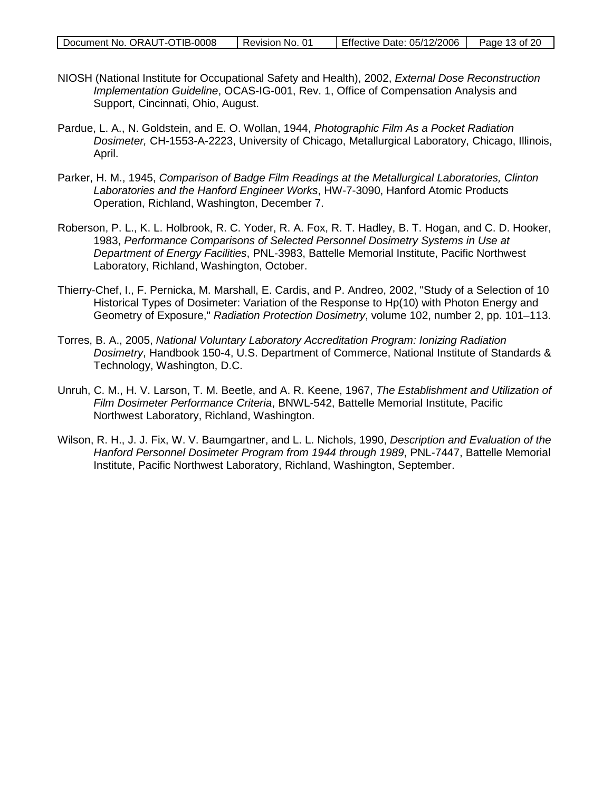| Document No. ORAUT-OTIB-0008 | Revision No. 01 | Effective Date: 05/12/2006   Page 13 of 20 |  |
|------------------------------|-----------------|--------------------------------------------|--|

- NIOSH (National Institute for Occupational Safety and Health), 2002, *External Dose Reconstruction Implementation Guideline*, OCAS-IG-001, Rev. 1, Office of Compensation Analysis and Support, Cincinnati, Ohio, August.
- Pardue, L. A., N. Goldstein, and E. O. Wollan, 1944, *Photographic Film As a Pocket Radiation Dosimeter,* CH-1553-A-2223, University of Chicago, Metallurgical Laboratory, Chicago, Illinois, April.
- Parker, H. M., 1945, *Comparison of Badge Film Readings at the Metallurgical Laboratories, Clinton Laboratories and the Hanford Engineer Works*, HW-7-3090, Hanford Atomic Products Operation, Richland, Washington, December 7.
- Roberson, P. L., K. L. Holbrook, R. C. Yoder, R. A. Fox, R. T. Hadley, B. T. Hogan, and C. D. Hooker, 1983, *Performance Comparisons of Selected Personnel Dosimetry Systems in Use at Department of Energy Facilities*, PNL-3983, Battelle Memorial Institute, Pacific Northwest Laboratory, Richland, Washington, October.
- Thierry-Chef, I., F. Pernicka, M. Marshall, E. Cardis, and P. Andreo, 2002, "Study of a Selection of 10 Historical Types of Dosimeter: Variation of the Response to Hp(10) with Photon Energy and Geometry of Exposure," *Radiation Protection Dosimetry*, volume 102, number 2, pp. 101–113.
- Torres, B. A., 2005, *National Voluntary Laboratory Accreditation Program: Ionizing Radiation Dosimetry*, Handbook 150-4, U.S. Department of Commerce, National Institute of Standards & Technology, Washington, D.C.
- Unruh, C. M., H. V. Larson, T. M. Beetle, and A. R. Keene, 1967, *The Establishment and Utilization of Film Dosimeter Performance Criteria*, BNWL-542, Battelle Memorial Institute, Pacific Northwest Laboratory, Richland, Washington.
- Wilson, R. H., J. J. Fix, W. V. Baumgartner, and L. L. Nichols, 1990, *Description and Evaluation of the Hanford Personnel Dosimeter Program from 1944 through 1989*, PNL-7447, Battelle Memorial Institute, Pacific Northwest Laboratory, Richland, Washington, September.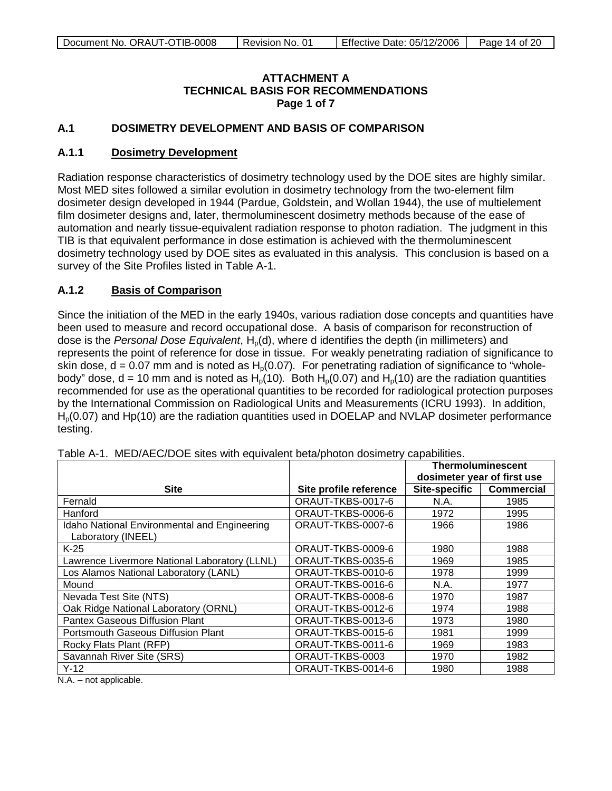#### **ATTACHMENT A TECHNICAL BASIS FOR RECOMMENDATIONS Page 1 of 7**

### **A.1 DOSIMETRY DEVELOPMENT AND BASIS OF COMPARISON**

#### **A.1.1 Dosimetry Development**

Radiation response characteristics of dosimetry technology used by the DOE sites are highly similar. Most MED sites followed a similar evolution in dosimetry technology from the two-element film dosimeter design developed in 1944 (Pardue, Goldstein, and Wollan 1944), the use of multielement film dosimeter designs and, later, thermoluminescent dosimetry methods because of the ease of automation and nearly tissue-equivalent radiation response to photon radiation. The judgment in this TIB is that equivalent performance in dose estimation is achieved with the thermoluminescent dosimetry technology used by DOE sites as evaluated in this analysis. This conclusion is based on a survey of the Site Profiles listed in Table A-1.

#### **A.1.2 Basis of Comparison**

Since the initiation of the MED in the early 1940s, various radiation dose concepts and quantities have been used to measure and record occupational dose. A basis of comparison for reconstruction of dose is the *Personal Dose Equivalent*, H<sub>p</sub>(d), where d identifies the depth (in millimeters) and represents the point of reference for dose in tissue. For weakly penetrating radiation of significance to skin dose,  $d = 0.07$  mm and is noted as  $H<sub>o</sub>(0.07)$ . For penetrating radiation of significance to "wholebody" dose,  $d = 10$  mm and is noted as  $H_p(10)$ . Both  $H_p(0.07)$  and  $H_p(10)$  are the radiation quantities recommended for use as the operational quantities to be recorded for radiological protection purposes by the International Commission on Radiological Units and Measurements (ICRU 1993). In addition,  $H<sub>0</sub>(0.07)$  and Hp(10) are the radiation quantities used in DOELAP and NVLAP dosimeter performance testing.

|                                                                    |                        | <b>Thermoluminescent</b>    |                   |
|--------------------------------------------------------------------|------------------------|-----------------------------|-------------------|
|                                                                    |                        | dosimeter year of first use |                   |
| <b>Site</b>                                                        | Site profile reference | <b>Site-specific</b>        | <b>Commercial</b> |
| Fernald                                                            | ORAUT-TKBS-0017-6      | N.A.                        | 1985              |
| Hanford                                                            | ORAUT-TKBS-0006-6      | 1972                        | 1995              |
| Idaho National Environmental and Engineering<br>Laboratory (INEEL) | ORAUT-TKBS-0007-6      | 1966                        | 1986              |
| $K-25$                                                             | ORAUT-TKBS-0009-6      | 1980                        | 1988              |
| Lawrence Livermore National Laboratory (LLNL)                      | ORAUT-TKBS-0035-6      | 1969                        | 1985              |
| Los Alamos National Laboratory (LANL)                              | ORAUT-TKBS-0010-6      | 1978                        | 1999              |
| Mound                                                              | ORAUT-TKBS-0016-6      | N.A.                        | 1977              |
| Nevada Test Site (NTS)                                             | ORAUT-TKBS-0008-6      | 1970                        | 1987              |
| Oak Ridge National Laboratory (ORNL)                               | ORAUT-TKBS-0012-6      | 1974                        | 1988              |
| Pantex Gaseous Diffusion Plant                                     | ORAUT-TKBS-0013-6      | 1973                        | 1980              |
| Portsmouth Gaseous Diffusion Plant                                 | ORAUT-TKBS-0015-6      | 1981                        | 1999              |
| Rocky Flats Plant (RFP)                                            | ORAUT-TKBS-0011-6      | 1969                        | 1983              |
| Savannah River Site (SRS)                                          | ORAUT-TKBS-0003        | 1970                        | 1982              |
| $Y-12$                                                             | ORAUT-TKBS-0014-6      | 1980                        | 1988              |

Table A-1. MED/AEC/DOE sites with equivalent beta/photon dosimetry capabilities.

N.A. – not applicable.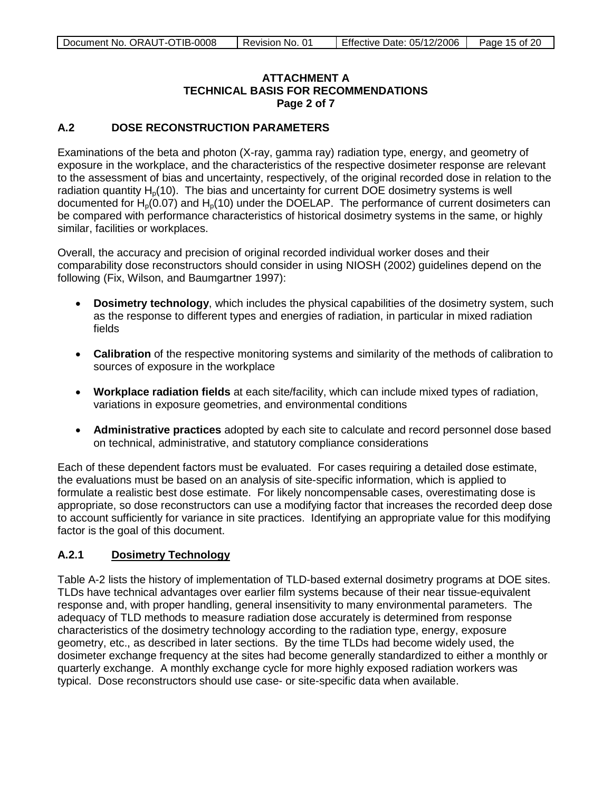### **ATTACHMENT A TECHNICAL BASIS FOR RECOMMENDATIONS Page 2 of 7**

### **A.2 DOSE RECONSTRUCTION PARAMETERS**

Examinations of the beta and photon (X-ray, gamma ray) radiation type, energy, and geometry of exposure in the workplace, and the characteristics of the respective dosimeter response are relevant to the assessment of bias and uncertainty, respectively, of the original recorded dose in relation to the radiation quantity  $H<sub>0</sub>(10)$ . The bias and uncertainty for current DOE dosimetry systems is well documented for  $H_p(0.07)$  and  $H_p(10)$  under the DOELAP. The performance of current dosimeters can be compared with performance characteristics of historical dosimetry systems in the same, or highly similar, facilities or workplaces.

Overall, the accuracy and precision of original recorded individual worker doses and their comparability dose reconstructors should consider in using NIOSH (2002) guidelines depend on the following (Fix, Wilson, and Baumgartner 1997):

- **Dosimetry technology**, which includes the physical capabilities of the dosimetry system, such as the response to different types and energies of radiation, in particular in mixed radiation fields
- **Calibration** of the respective monitoring systems and similarity of the methods of calibration to sources of exposure in the workplace
- **Workplace radiation fields** at each site/facility, which can include mixed types of radiation, variations in exposure geometries, and environmental conditions
- **Administrative practices** adopted by each site to calculate and record personnel dose based on technical, administrative, and statutory compliance considerations

Each of these dependent factors must be evaluated. For cases requiring a detailed dose estimate, the evaluations must be based on an analysis of site-specific information, which is applied to formulate a realistic best dose estimate. For likely noncompensable cases, overestimating dose is appropriate, so dose reconstructors can use a modifying factor that increases the recorded deep dose to account sufficiently for variance in site practices. Identifying an appropriate value for this modifying factor is the goal of this document.

#### **A.2.1 Dosimetry Technology**

Table A-2 lists the history of implementation of TLD-based external dosimetry programs at DOE sites. TLDs have technical advantages over earlier film systems because of their near tissue-equivalent response and, with proper handling, general insensitivity to many environmental parameters. The adequacy of TLD methods to measure radiation dose accurately is determined from response characteristics of the dosimetry technology according to the radiation type, energy, exposure geometry, etc., as described in later sections. By the time TLDs had become widely used, the dosimeter exchange frequency at the sites had become generally standardized to either a monthly or quarterly exchange. A monthly exchange cycle for more highly exposed radiation workers was typical. Dose reconstructors should use case- or site-specific data when available.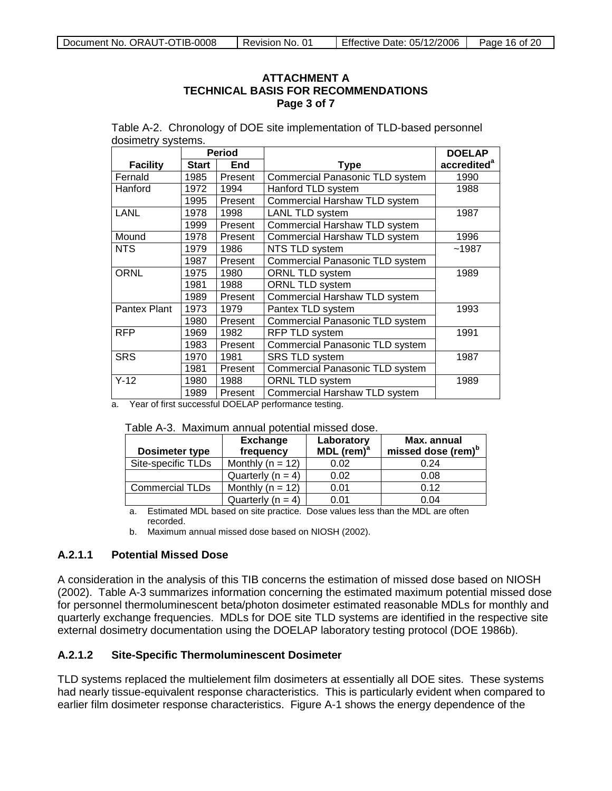#### **ATTACHMENT A TECHNICAL BASIS FOR RECOMMENDATIONS Page 3 of 7**

Table A-2. Chronology of DOE site implementation of TLD-based personnel dosimetry systems.

|                 |              | <b>Period</b> |                                        | <b>DOELAP</b>           |
|-----------------|--------------|---------------|----------------------------------------|-------------------------|
| <b>Facility</b> | <b>Start</b> | End           | <b>Type</b>                            | accredited <sup>a</sup> |
| Fernald         | 1985         | Present       | Commercial Panasonic TLD system        | 1990                    |
| Hanford         | 1972         | 1994          | Hanford TLD system                     | 1988                    |
|                 | 1995         | Present       | Commercial Harshaw TLD system          |                         |
| <b>LANL</b>     | 1978         | 1998          | LANL TLD system                        | 1987                    |
|                 | 1999         | Present       | Commercial Harshaw TLD system          |                         |
| Mound           | 1978         | Present       | Commercial Harshaw TLD system          | 1996                    |
| <b>NTS</b>      | 1979         | 1986          | NTS TLD system                         | ~1987                   |
|                 | 1987         | Present       | Commercial Panasonic TLD system        |                         |
| <b>ORNL</b>     | 1975         | 1980          | ORNL TLD system                        | 1989                    |
|                 | 1981         | 1988          | ORNL TLD system                        |                         |
|                 | 1989         | Present       | Commercial Harshaw TLD system          |                         |
| Pantex Plant    | 1973         | 1979          | Pantex TLD system                      | 1993                    |
|                 | 1980         | Present       | <b>Commercial Panasonic TLD system</b> |                         |
| <b>RFP</b>      | 1969         | 1982          | RFP TLD system                         | 1991                    |
|                 | 1983         | Present       | Commercial Panasonic TLD system        |                         |
| <b>SRS</b>      | 1970         | 1981          | <b>SRS TLD system</b>                  | 1987                    |
|                 | 1981         | Present       | Commercial Panasonic TLD system        |                         |
| $Y-12$          | 1980         | 1988          | ORNL TLD system                        | 1989                    |
|                 | 1989         | Present       | Commercial Harshaw TLD system          |                         |

a. Year of first successful DOELAP performance testing.

| <b>Dosimeter type</b>  | <b>Exchange</b><br>frequency | Laboratory<br>MDL $(rem)^a$ | Max. annual<br>missed dose (rem) <sup>b</sup> |
|------------------------|------------------------------|-----------------------------|-----------------------------------------------|
| Site-specific TLDs     | Monthly ( $n = 12$ )         | 0.02                        | 0.24                                          |
|                        | Quarterly $(n = 4)$          | 0.02                        | 0.08                                          |
| <b>Commercial TLDs</b> | Monthly ( $n = 12$ )         | 0.01                        | 0.12                                          |
|                        | Quarterly $(n = 4)$          | 0.01                        | 0.04                                          |

a. Estimated MDL based on site practice. Dose values less than the MDL are often recorded.

b. Maximum annual missed dose based on NIOSH (2002).

#### **A.2.1.1 Potential Missed Dose**

A consideration in the analysis of this TIB concerns the estimation of missed dose based on NIOSH (2002). Table A-3 summarizes information concerning the estimated maximum potential missed dose for personnel thermoluminescent beta/photon dosimeter estimated reasonable MDLs for monthly and quarterly exchange frequencies. MDLs for DOE site TLD systems are identified in the respective site external dosimetry documentation using the DOELAP laboratory testing protocol (DOE 1986b).

#### **A.2.1.2 Site-Specific Thermoluminescent Dosimeter**

TLD systems replaced the multielement film dosimeters at essentially all DOE sites. These systems had nearly tissue-equivalent response characteristics. This is particularly evident when compared to earlier film dosimeter response characteristics. Figure A-1 shows the energy dependence of the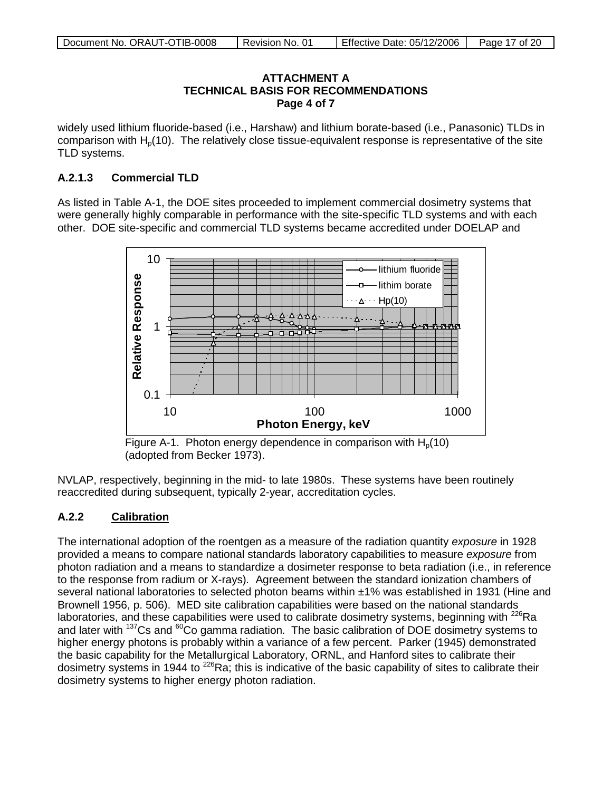#### **ATTACHMENT A TECHNICAL BASIS FOR RECOMMENDATIONS Page 4 of 7**

widely used lithium fluoride-based (i.e., Harshaw) and lithium borate-based (i.e., Panasonic) TLDs in comparison with  $H<sub>0</sub>(10)$ . The relatively close tissue-equivalent response is representative of the site TLD systems.

### **A.2.1.3 Commercial TLD**

As listed in Table A-1, the DOE sites proceeded to implement commercial dosimetry systems that were generally highly comparable in performance with the site-specific TLD systems and with each other. DOE site-specific and commercial TLD systems became accredited under DOELAP and



Figure A-1. Photon energy dependence in comparison with  $H<sub>0</sub>(10)$ (adopted from Becker 1973).

NVLAP, respectively, beginning in the mid- to late 1980s. These systems have been routinely reaccredited during subsequent, typically 2-year, accreditation cycles.

#### **A.2.2 Calibration**

The international adoption of the roentgen as a measure of the radiation quantity *exposure* in 1928 provided a means to compare national standards laboratory capabilities to measure *exposure* from photon radiation and a means to standardize a dosimeter response to beta radiation (i.e., in reference to the response from radium or X-rays)*.* Agreement between the standard ionization chambers of several national laboratories to selected photon beams within ±1% was established in 1931 (Hine and Brownell 1956, p. 506). MED site calibration capabilities were based on the national standards laboratories, and these capabilities were used to calibrate dosimetry systems, beginning with  $^{226}$ Ra and later with  $137Cs$  and  $60CO$  gamma radiation. The basic calibration of DOE dosimetry systems to higher energy photons is probably within a variance of a few percent. Parker (1945) demonstrated the basic capability for the Metallurgical Laboratory, ORNL, and Hanford sites to calibrate their dosimetry systems in 1944 to <sup>226</sup>Ra; this is indicative of the basic capability of sites to calibrate their dosimetry systems to higher energy photon radiation.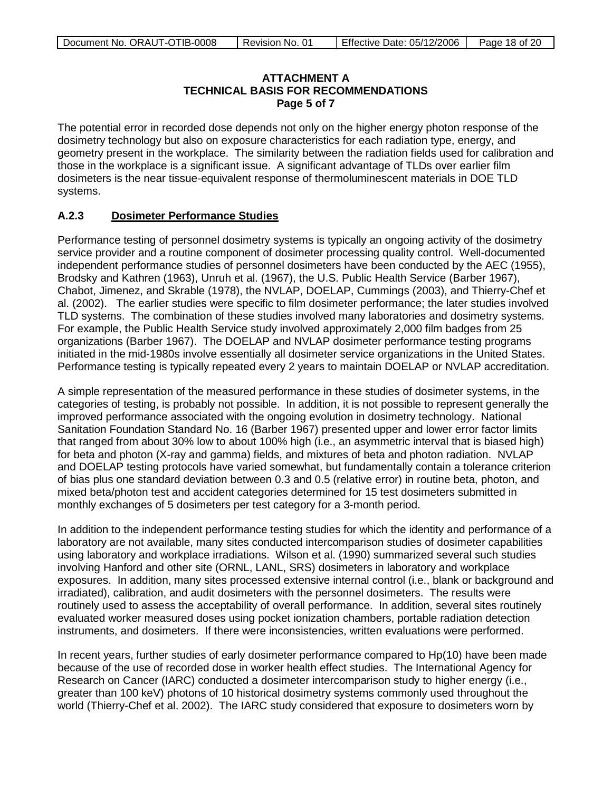### **ATTACHMENT A TECHNICAL BASIS FOR RECOMMENDATIONS Page 5 of 7**

The potential error in recorded dose depends not only on the higher energy photon response of the dosimetry technology but also on exposure characteristics for each radiation type, energy, and geometry present in the workplace. The similarity between the radiation fields used for calibration and those in the workplace is a significant issue. A significant advantage of TLDs over earlier film dosimeters is the near tissue-equivalent response of thermoluminescent materials in DOE TLD systems.

#### **A.2.3 Dosimeter Performance Studies**

Performance testing of personnel dosimetry systems is typically an ongoing activity of the dosimetry service provider and a routine component of dosimeter processing quality control. Well-documented independent performance studies of personnel dosimeters have been conducted by the AEC (1955), Brodsky and Kathren (1963), Unruh et al. (1967), the U.S. Public Health Service (Barber 1967), Chabot, Jimenez, and Skrable (1978), the NVLAP, DOELAP, Cummings (2003), and Thierry-Chef et al. (2002). The earlier studies were specific to film dosimeter performance; the later studies involved TLD systems. The combination of these studies involved many laboratories and dosimetry systems. For example, the Public Health Service study involved approximately 2,000 film badges from 25 organizations (Barber 1967). The DOELAP and NVLAP dosimeter performance testing programs initiated in the mid-1980s involve essentially all dosimeter service organizations in the United States. Performance testing is typically repeated every 2 years to maintain DOELAP or NVLAP accreditation.

A simple representation of the measured performance in these studies of dosimeter systems, in the categories of testing, is probably not possible. In addition, it is not possible to represent generally the improved performance associated with the ongoing evolution in dosimetry technology. National Sanitation Foundation Standard No. 16 (Barber 1967) presented upper and lower error factor limits that ranged from about 30% low to about 100% high (i.e., an asymmetric interval that is biased high) for beta and photon (X-ray and gamma) fields, and mixtures of beta and photon radiation. NVLAP and DOELAP testing protocols have varied somewhat, but fundamentally contain a tolerance criterion of bias plus one standard deviation between 0.3 and 0.5 (relative error) in routine beta, photon, and mixed beta/photon test and accident categories determined for 15 test dosimeters submitted in monthly exchanges of 5 dosimeters per test category for a 3-month period.

In addition to the independent performance testing studies for which the identity and performance of a laboratory are not available, many sites conducted intercomparison studies of dosimeter capabilities using laboratory and workplace irradiations. Wilson et al. (1990) summarized several such studies involving Hanford and other site (ORNL, LANL, SRS) dosimeters in laboratory and workplace exposures. In addition, many sites processed extensive internal control (i.e., blank or background and irradiated), calibration, and audit dosimeters with the personnel dosimeters. The results were routinely used to assess the acceptability of overall performance. In addition, several sites routinely evaluated worker measured doses using pocket ionization chambers, portable radiation detection instruments, and dosimeters. If there were inconsistencies, written evaluations were performed.

In recent years, further studies of early dosimeter performance compared to Hp(10) have been made because of the use of recorded dose in worker health effect studies. The International Agency for Research on Cancer (IARC) conducted a dosimeter intercomparison study to higher energy (i.e., greater than 100 keV) photons of 10 historical dosimetry systems commonly used throughout the world (Thierry-Chef et al. 2002). The IARC study considered that exposure to dosimeters worn by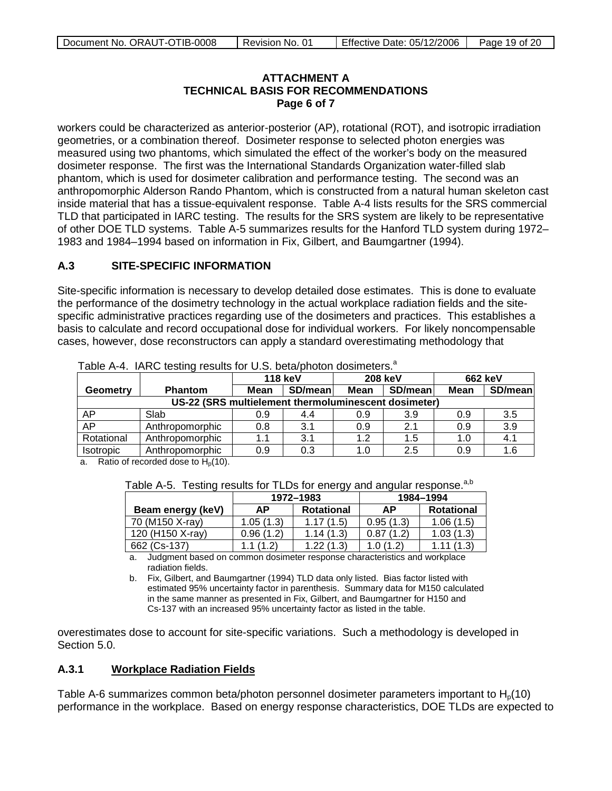#### **ATTACHMENT A TECHNICAL BASIS FOR RECOMMENDATIONS Page 6 of 7**

workers could be characterized as anterior-posterior (AP), rotational (ROT), and isotropic irradiation geometries, or a combination thereof. Dosimeter response to selected photon energies was measured using two phantoms, which simulated the effect of the worker's body on the measured dosimeter response. The first was the International Standards Organization water-filled slab phantom, which is used for dosimeter calibration and performance testing. The second was an anthropomorphic Alderson Rando Phantom, which is constructed from a natural human skeleton cast inside material that has a tissue-equivalent response. Table A-4 lists results for the SRS commercial TLD that participated in IARC testing. The results for the SRS system are likely to be representative of other DOE TLD systems. Table A-5 summarizes results for the Hanford TLD system during 1972– 1983 and 1984–1994 based on information in Fix, Gilbert, and Baumgartner (1994).

#### **A.3 SITE-SPECIFIC INFORMATION**

Site-specific information is necessary to develop detailed dose estimates. This is done to evaluate the performance of the dosimetry technology in the actual workplace radiation fields and the sitespecific administrative practices regarding use of the dosimeters and practices. This establishes a basis to calculate and record occupational dose for individual workers. For likely noncompensable cases, however, dose reconstructors can apply a standard overestimating methodology that

|                                                      |                 | <b>118 keV</b> |         | <b>208 keV</b> |         | 662 keV     |         |
|------------------------------------------------------|-----------------|----------------|---------|----------------|---------|-------------|---------|
| Geometry                                             | <b>Phantom</b>  | <b>Mean</b>    | SD/mean | Mean           | SD/mean | <b>Mean</b> | SD/mean |
| US-22 (SRS multielement thermoluminescent dosimeter) |                 |                |         |                |         |             |         |
| AP                                                   | Slab            | 0.9            | 4.4     | 0.9            | 3.9     | 0.9         | 3.5     |
| AP                                                   | Anthropomorphic | 0.8            | 3.1     | 0.9            | 2.1     | 0.9         | 3.9     |
| Rotational                                           | Anthropomorphic | 1.1            | 3.1     | 1.2            | 1.5     | 1.0         | 4.1     |
| <b>Isotropic</b>                                     | Anthropomorphic | 0.9            | 0.3     | 1.0            | 2.5     | 0.9         | 1.6     |

Table A-4. IARC testing results for U.S. beta/photon dosimeters.<sup>a</sup>

a. Ratio of recorded dose to  $H_p(10)$ .

Table A-5. Testing results for TLDs for energy and angular response.<sup>a,b</sup>

|                   |           | ້<br>1972-1983    |           | 1984-1994         |
|-------------------|-----------|-------------------|-----------|-------------------|
| Beam energy (keV) | АΡ        | <b>Rotational</b> | АΡ        | <b>Rotational</b> |
| 70 (M150 X-ray)   | 1.05(1.3) | 1.17(1.5)         | 0.95(1.3) | 1.06(1.5)         |
| 120 (H150 X-ray)  | 0.96(1.2) | 1.14(1.3)         | 0.87(1.2) | 1.03(1.3)         |
| 662 (Cs-137)      | 1.1(1.2)  | 1.22(1.3)         | 1.0(1.2)  |                   |

a. Judgment based on common dosimeter response characteristics and workplace radiation fields.

b. Fix, Gilbert, and Baumgartner (1994) TLD data only listed. Bias factor listed with estimated 95% uncertainty factor in parenthesis. Summary data for M150 calculated in the same manner as presented in Fix, Gilbert, and Baumgartner for H150 and Cs-137 with an increased 95% uncertainty factor as listed in the table.

overestimates dose to account for site-specific variations. Such a methodology is developed in Section 5.0.

#### **A.3.1 Workplace Radiation Fields**

Table A-6 summarizes common beta/photon personnel dosimeter parameters important to  $H<sub>0</sub>(10)$ performance in the workplace. Based on energy response characteristics, DOE TLDs are expected to